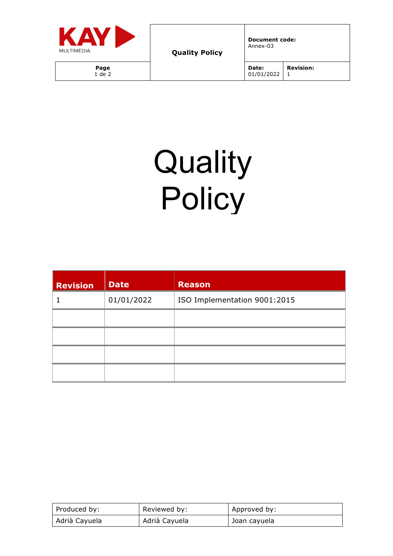

**Document code:** Annex-03

## **Quality Policy**

| <b>Revision</b> | <b>Date</b> | <b>Reason</b>                |
|-----------------|-------------|------------------------------|
|                 | 01/01/2022  | ISO Implementation 9001:2015 |
|                 |             |                              |
|                 |             |                              |
|                 |             |                              |
|                 |             |                              |

| Produced by:  | Reviewed by:  | Approved by: |
|---------------|---------------|--------------|
| Adrià Cayuela | Adrià Cayuela | Joan cayuela |